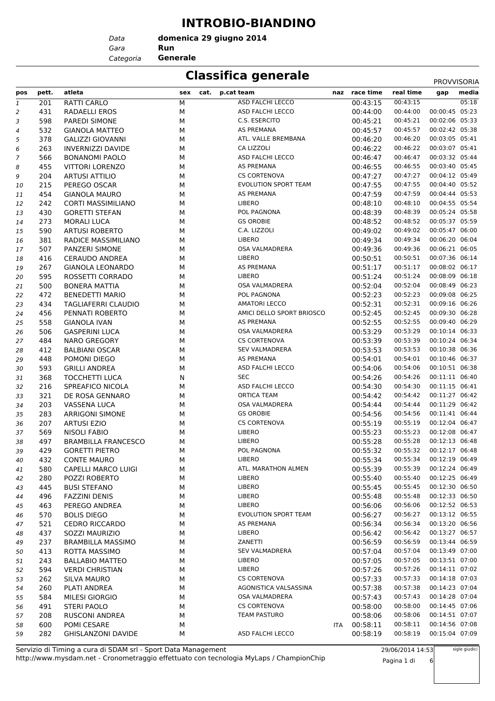#### **INTROBIO-BIANDINO**

**domenica 29 giugno 2014**

*Gara* **Run**

*Data*

*Categoria* **Generale**

#### **Classifica generale** PROVISORIA

|     |       |                            |             |                             |      |               |           | <b>PROVVISORIA</b> |       |
|-----|-------|----------------------------|-------------|-----------------------------|------|---------------|-----------|--------------------|-------|
| pos | pett. | atleta                     | sex<br>cat. | p.cat team                  |      | naz race time | real time | gap                | media |
| 1   | 201   | RATTI CARLO                | М           | ASD FALCHI LECCO            |      | 00:43:15      | 00:43:15  |                    | 05:18 |
| 2   | 431   | RADAELLI EROS              | М           | ASD FALCHI LECCO            |      | 00:44:00      | 00:44:00  | 00:00:45 05:23     |       |
| 3   | 598   | <b>PAREDI SIMONE</b>       | М           | C.S. ESERCITO               |      | 00:45:21      | 00:45:21  | 00:02:06 05:33     |       |
| 4   | 532   | <b>GIANOLA MATTEO</b>      | М           | AS PREMANA                  |      | 00:45:57      | 00:45:57  | 00:02:42 05:38     |       |
| 5   | 378   | <b>GALIZZI GIOVANNI</b>    | М           | ATL. VALLE BREMBANA         |      | 00:46:20      | 00:46:20  | 00:03:05 05:41     |       |
| 6   | 263   | <b>INVERNIZZI DAVIDE</b>   | М           | CA LIZZOLI                  |      | 00:46:22      | 00:46:22  | 00:03:07 05:41     |       |
| 7   | 566   | <b>BONANOMI PAOLO</b>      | М           | ASD FALCHI LECCO            |      | 00:46:47      | 00:46:47  | 00:03:32 05:44     |       |
| 8   | 455   | <b>VITTORI LORENZO</b>     | М           | AS PREMANA                  |      | 00:46:55      | 00:46:55  | 00:03:40 05:45     |       |
| 9   | 204   | <b>ARTUSI ATTILIO</b>      | М           | <b>CS CORTENOVA</b>         |      | 00:47:27      | 00:47:27  | 00:04:12 05:49     |       |
| 10  | 215   | PEREGO OSCAR               | М           | <b>EVOLUTION SPORT TEAM</b> |      | 00:47:55      | 00:47:55  | 00:04:40 05:52     |       |
| 11  | 454   | <b>GIANOLA MAURO</b>       | М           | AS PREMANA                  |      | 00:47:59      | 00:47:59  | 00:04:44 05:53     |       |
| 12  | 242   | <b>CORTI MASSIMILIANO</b>  | М           | <b>LIBERO</b>               |      | 00:48:10      | 00:48:10  | 00:04:55 05:54     |       |
| 13  | 430   | <b>GORETTI STEFAN</b>      | М           | POL PAGNONA                 |      | 00:48:39      | 00:48:39  | 00:05:24 05:58     |       |
| 14  | 273   | <b>MORALI LUCA</b>         | М           | <b>GS OROBIE</b>            |      | 00:48:52      | 00:48:52  | 00:05:37 05:59     |       |
| 15  | 590   | <b>ARTUSI ROBERTO</b>      | М           | C.A. LIZZOLI                |      | 00:49:02      | 00:49:02  | 00:05:47 06:00     |       |
| 16  | 381   | RADICE MASSIMILIANO        | М           | LIBERO                      |      | 00:49:34      | 00:49:34  | 00:06:20 06:04     |       |
| 17  | 507   | PANZERI SIMONE             | М           | OSA VALMADRERA              |      | 00:49:36      | 00:49:36  | 00:06:21 06:05     |       |
| 18  | 416   | <b>CERAUDO ANDREA</b>      | М           | <b>LIBERO</b>               |      | 00:50:51      | 00:50:51  | 00:07:36 06:14     |       |
| 19  | 267   | <b>GIANOLA LEONARDO</b>    | М           | AS PREMANA                  |      | 00:51:17      | 00:51:17  | 00:08:02 06:17     |       |
| 20  | 595   | ROSSETTI CORRADO           | М           | <b>LIBERO</b>               |      | 00:51:24      | 00:51:24  | 00:08:09 06:18     |       |
| 21  | 500   | <b>BONERA MATTIA</b>       | М           | OSA VALMADRERA              |      | 00:52:04      | 00:52:04  | 00:08:49 06:23     |       |
| 22  | 472   | <b>BENEDETTI MARIO</b>     | М           | POL PAGNONA                 |      | 00:52:23      | 00:52:23  | 00:09:08 06:25     |       |
| 23  | 434   | <b>TAGLIAFERRI CLAUDIO</b> | М           | <b>AMATORI LECCO</b>        |      | 00:52:31      | 00:52:31  | 00:09:16 06:26     |       |
| 24  | 456   | PENNATI ROBERTO            | М           | AMICI DELLO SPORT BRIOSCO   |      | 00:52:45      | 00:52:45  | 00:09:30 06:28     |       |
| 25  | 558   | <b>GIANOLA IVAN</b>        | М           | AS PREMANA                  |      | 00:52:55      | 00:52:55  | 00:09:40 06:29     |       |
| 26  | 506   | <b>GASPERINI LUCA</b>      | М           | OSA VALMADRERA              |      | 00:53:29      | 00:53:29  | 00:10:14 06:33     |       |
| 27  | 484   | <b>NARO GREGORY</b>        | М           | <b>CS CORTENOVA</b>         |      | 00:53:39      | 00:53:39  | 00:10:24 06:34     |       |
| 28  | 412   | <b>BALBIANI OSCAR</b>      | М           | <b>SEV VALMADRERA</b>       |      | 00:53:53      | 00:53:53  | 00:10:38 06:36     |       |
| 29  | 448   | POMONI DIEGO               | М           | AS PREMANA                  |      | 00:54:01      | 00:54:01  | 00:10:46 06:37     |       |
| 30  | 593   | <b>GRILLI ANDREA</b>       | М           | ASD FALCHI LECCO            |      | 00:54:06      | 00:54:06  | 00:10:51 06:38     |       |
| 31  | 368   | <b>TOCCHETTI LUCA</b>      | N           | <b>SEC</b>                  |      | 00:54:26      | 00:54:26  | 00:11:11 06:40     |       |
| 32  | 216   | SPREAFICO NICOLA           | М           | ASD FALCHI LECCO            |      | 00:54:30      | 00:54:30  | 00:11:15 06:41     |       |
| 33  | 321   | DE ROSA GENNARO            | М           | <b>ORTICA TEAM</b>          |      | 00:54:42      | 00:54:42  | 00:11:27 06:42     |       |
| 34  | 203   | <b>VASSENA LUCA</b>        | М           | OSA VALMADRERA              |      | 00:54:44      | 00:54:44  | 00:11:29 06:42     |       |
| 35  | 283   | <b>ARRIGONI SIMONE</b>     | М           | <b>GS OROBIE</b>            |      | 00:54:56      | 00:54:56  | 00:11:41 06:44     |       |
| 36  | 207   | <b>ARTUSI EZIO</b>         | М           | <b>CS CORTENOVA</b>         |      | 00:55:19      | 00:55:19  | 00:12:04 06:47     |       |
| 37  | 569   | <b>NISOLI FABIO</b>        | М           | LIBERO                      |      | 00:55:23      | 00:55:23  | 00:12:08 06:47     |       |
| 38  | 497   | <b>BRAMBILLA FRANCESCO</b> | М           | <b>LIBERO</b>               |      | 00:55:28      | 00:55:28  | 00:12:13 06:48     |       |
| 39  | 429   | <b>GORETTI PIETRO</b>      | м           | POL PAGNONA                 |      | 00:55:32      | 00:55:32  | 00:12:17 06:48     |       |
| 40  | 432   | <b>CONTE MAURO</b>         | М           | <b>LIBERO</b>               |      | 00:55:34      | 00:55:34  | 00:12:19 06:49     |       |
| 41  | 580   | CAPELLI MARCO LUIGI        | М           | ATL. MARATHON ALMEN         |      | 00:55:39      | 00:55:39  | 00:12:24 06:49     |       |
| 42  | 280   | POZZI ROBERTO              | М           | <b>LIBERO</b>               |      | 00:55:40      | 00:55:40  | 00:12:25 06:49     |       |
| 43  | 445   | <b>BUSI STEFANO</b>        | М           | LIBERO                      |      | 00:55:45      | 00:55:45  | 00:12:30 06:50     |       |
| 44  | 496   | <b>FAZZINI DENIS</b>       | М           | LIBERO                      |      | 00:55:48      | 00:55:48  | 00:12:33 06:50     |       |
| 45  | 463   | PEREGO ANDREA              | М           | <b>LIBERO</b>               |      | 00:56:06      | 00:56:06  | 00:12:52 06:53     |       |
| 46  | 570   | <b>BOLIS DIEGO</b>         | М           | <b>EVOLUTION SPORT TEAM</b> |      | 00:56:27      | 00:56:27  | 00:13:12 06:55     |       |
| 47  | 521   | <b>CEDRO RICCARDO</b>      | М           | AS PREMANA                  |      | 00:56:34      | 00:56:34  | 00:13:20 06:56     |       |
| 48  | 437   | SOZZI MAURIZIO             | м           | <b>LIBERO</b>               |      | 00:56:42      | 00:56:42  | 00:13:27 06:57     |       |
| 49  | 237   | <b>BRAMBILLA MASSIMO</b>   | М           | ZANETTI                     |      | 00:56:59      | 00:56:59  | 00:13:44 06:59     |       |
| 50  | 413   | ROTTA MASSIMO              | М           | <b>SEV VALMADRERA</b>       |      | 00:57:04      | 00:57:04  | 00:13:49 07:00     |       |
| 51  | 243   | <b>BALLABIO MATTEO</b>     | М           | <b>LIBERO</b>               |      | 00:57:05      | 00:57:05  | 00:13:51 07:00     |       |
| 52  | 594   | <b>VERDI CHRISTIAN</b>     | М           | <b>LIBERO</b>               |      | 00:57:26      | 00:57:26  | 00:14:11 07:02     |       |
| 53  | 262   | <b>SILVA MAURO</b>         | М           | <b>CS CORTENOVA</b>         |      | 00:57:33      | 00:57:33  | 00:14:18 07:03     |       |
| 54  | 260   | PLATI ANDREA               | М           | AGONISTICA VALSASSINA       |      | 00:57:38      | 00:57:38  | 00:14:23 07:04     |       |
| 55  | 584   | MILESI GIORGIO             | М           | OSA VALMADRERA              |      | 00:57:43      | 00:57:43  | 00:14:28 07:04     |       |
| 56  | 491   | <b>STERI PAOLO</b>         | М           | <b>CS CORTENOVA</b>         |      | 00:58:00      | 00:58:00  | 00:14:45 07:06     |       |
| 57  | 208   | <b>RUSCONI ANDREA</b>      | М           | TEAM PASTURO                |      | 00:58:06      | 00:58:06  | 00:14:51 07:07     |       |
| 58  | 600   | POMI CESARE                | М           |                             | ITA. | 00:58:11      | 00:58:11  | 00:14:56 07:08     |       |
| 59  | 282   | <b>GHISLANZONI DAVIDE</b>  | М           | ASD FALCHI LECCO            |      | 00:58:19      | 00:58:19  | 00:15:04 07:09     |       |
|     |       |                            |             |                             |      |               |           |                    |       |

http://www.mysdam.net - Cronometraggio effettuato con tecnologia MyLaps / ChampionChip Servizio di Timing a cura di SDAM srl - Sport Data Management

29/06/2014 14:53

Pagina 1 di 6

sigle giudici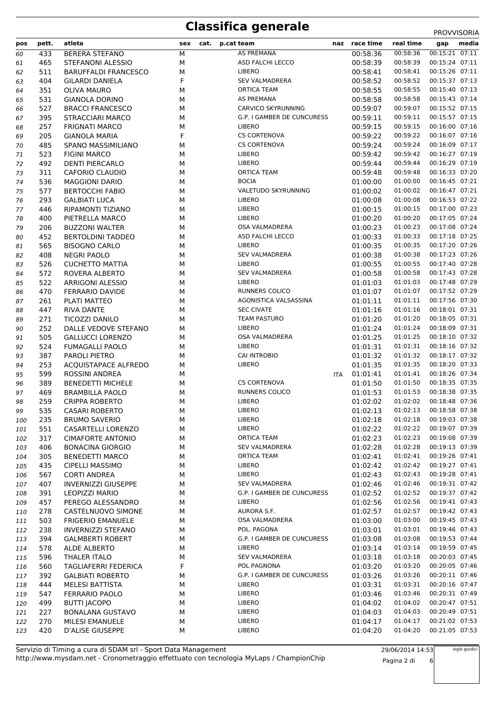## **Classifica generale** PROVVISORIA

| pos        | pett.      | atleta                                          | sex    | cat. | p.cat team                             | naz        | race time            | real time            | gap                              | media |
|------------|------------|-------------------------------------------------|--------|------|----------------------------------------|------------|----------------------|----------------------|----------------------------------|-------|
| 60         | 433        | <b>BERERA STEFANO</b>                           | М      |      | AS PREMANA                             |            | 00:58:36             | 00:58:36             | 00:15:21 07:11                   |       |
| 61         | 465        | STEFANONI ALESSIO                               | М      |      | ASD FALCHI LECCO                       |            | 00:58:39             | 00:58:39             | 00:15:24 07:11                   |       |
| 62         | 511        | <b>BARUFFALDI FRANCESCO</b>                     | М      |      | <b>LIBERO</b>                          |            | 00:58:41             | 00:58:41             | 00:15:26 07:11                   |       |
| 63         | 404        | <b>GILARDI DANIELA</b>                          | F      |      | <b>SEV VALMADRERA</b>                  |            | 00:58:52             | 00:58:52             | 00:15:37 07:13                   |       |
| 64         | 351        | <b>OLIVA MAURO</b>                              | М      |      | <b>ORTICA TEAM</b>                     |            | 00:58:55             | 00:58:55             | 00:15:40 07:13                   |       |
| 65         | 531        | <b>GIANOLA DORINO</b>                           | М      |      | AS PREMANA                             |            | 00:58:58             | 00:58:58             | 00:15:43 07:14                   |       |
| 66         | 527        | <b>BRACCI FRANCESCO</b>                         | М      |      | CARVICO SKYRUNNING                     |            | 00:59:07             | 00:59:07             | 00:15:52 07:15                   |       |
| 67         | 395        | <b>STRACCIARI MARCO</b>                         | М      |      | G.P. I GAMBER DE CUNCURESS             |            | 00:59:11             | 00:59:11             | 00:15:57 07:15                   |       |
| 68         | 257        | <b>FRIGNATI MARCO</b>                           | М      |      | <b>LIBERO</b>                          |            | 00:59:15             | 00:59:15             | 00:16:00 07:16                   |       |
| 69         | 205        | <b>GIANOLA MARIA</b>                            | F      |      | <b>CS CORTENOVA</b>                    |            | 00:59:22             | 00:59:22             | 00:16:07 07:16                   |       |
| 70         | 485        | SPANO MASSIMILIANO                              | М      |      | <b>CS CORTENOVA</b>                    |            | 00:59:24             | 00:59:24             | 00:16:09 07:17                   |       |
| 71         | 523        | <b>FIGINI MARCO</b>                             | М      |      | <b>LIBERO</b>                          |            | 00:59:42             | 00:59:42             | 00:16:27 07:19                   |       |
| 72         | 492        | <b>DENTI PIERCARLO</b>                          | М      |      | <b>LIBERO</b>                          |            | 00:59:44             | 00:59:44             | 00:16:29 07:19                   |       |
| 73         | 311        | CAFORIO CLAUDIO                                 | М      |      | <b>ORTICA TEAM</b>                     |            | 00:59:48             | 00:59:48             | 00:16:33 07:20                   |       |
| 74         | 536        | <b>MAGGIONI DARIO</b>                           | М      |      | <b>BOCIA</b>                           |            | 01:00:00             | 01:00:00             | 00:16:45 07:21                   |       |
| 75         | 577        | <b>BERTOCCHI FABIO</b>                          | М      |      | VALETUDO SKYRUNNING                    |            | 01:00:02             | 01:00:02             | 00:16:47 07:21                   |       |
| 76         | 293        | <b>GALBIATI LUCA</b>                            | М      |      | <b>LIBERO</b>                          |            | 01:00:08             | 01:00:08             | 00:16:53 07:22                   |       |
| 77         | 446        | RIPAMONTI TIZIANO                               | М      |      | <b>LIBERO</b>                          |            | 01:00:15             | 01:00:15             | 00:17:00 07:23                   |       |
| 78         | 400        | PIETRELLA MARCO                                 | М      |      | <b>LIBERO</b>                          |            | 01:00:20             | 01:00:20             | 00:17:05 07:24                   |       |
| 79         | 206        | <b>BUZZONI WALTER</b>                           | М      |      | OSA VALMADRERA                         |            | 01:00:23             | 01:00:23             | 00:17:08 07:24                   |       |
| 80         | 452        | <b>BERTOLDINI TADDEO</b>                        | М      |      | ASD FALCHI LECCO                       |            | 01:00:33             | 01:00:33             | 00:17:18 07:25                   |       |
| 81         | 565        | <b>BISOGNO CARLO</b>                            | М      |      | <b>LIBERO</b>                          |            | 01:00:35             | 01:00:35             | 00:17:20 07:26                   |       |
| 82         | 408        | <b>NEGRI PAOLO</b>                              | М      |      | <b>SEV VALMADRERA</b>                  |            | 01:00:38             | 01:00:38             | 00:17:23 07:26                   |       |
| 83         | 526        | <b>CUCHETTO MATTIA</b>                          | М      |      | LIBERO                                 |            | 01:00:55             | 01:00:55             | 00:17:40 07:28                   |       |
| 84         | 572        | ROVERA ALBERTO                                  | М      |      | <b>SEV VALMADRERA</b>                  |            | 01:00:58             | 01:00:58             | 00:17:43 07:28                   |       |
| 85         | 522        | ARRIGONI ALESSIO                                | М      |      | <b>LIBERO</b>                          |            | 01:01:03             | 01:01:03             | 00:17:48 07:29                   |       |
| 86         | 470        | <b>FERRARIO DAVIDE</b>                          | М      |      | <b>RUNNERS COLICO</b>                  |            | 01:01:07             | 01:01:07             | 00:17:52 07:29                   |       |
| 87         | 261        | PLATI MATTEO                                    | М      |      | AGONISTICA VALSASSINA                  |            | 01:01:11             | 01:01:11             | 00:17:56 07:30                   |       |
| 88         | 447        | RIVA DANTE                                      | М      |      | <b>SEC CIVATE</b>                      |            | 01:01:16             | 01:01:16             | 00:18:01 07:31                   |       |
| 89         | 271        | <b>TICOZZI DANILO</b>                           | М      |      | <b>TEAM PASTURO</b>                    |            | 01:01:20             | 01:01:20             | 00:18:05 07:31                   |       |
| 90         | 252        | DALLE VEDOVE STEFANO                            | М      |      | <b>LIBERO</b>                          |            | 01:01:24             | 01:01:24             | 00:18:09 07:31                   |       |
| 91         | 505        | <b>GALLUCCI LORENZO</b>                         | М      |      | <b>OSA VALMADRERA</b><br><b>LIBERO</b> |            | 01:01:25             | 01:01:25<br>01:01:31 | 00:18:10 07:32<br>00:18:16 07:32 |       |
| 92         | 524<br>387 | <b>FUMAGALLI PAOLO</b><br>PAROLI PIETRO         | М<br>М |      | <b>CAI INTROBIO</b>                    |            | 01:01:31<br>01:01:32 | 01:01:32             | 00:18:17 07:32                   |       |
| 93<br>94   | 253        | <b>ACQUISTAPACE ALFREDO</b>                     | М      |      | LIBERO                                 |            | 01:01:35             | 01:01:35             | 00:18:20 07:33                   |       |
| 95         | 599        | ROSSINI ANDREA                                  | М      |      |                                        | <b>ITA</b> | 01:01:41             | 01:01:41             | 00:18:26 07:34                   |       |
| 96         | 389        | <b>BENEDETTI MICHELE</b>                        | М      |      | <b>CS CORTENOVA</b>                    |            | 01:01:50             | 01:01:50             | 00:18:35 07:35                   |       |
| 97         | 469        | <b>BRAMBILLA PAOLO</b>                          | М      |      | RUNNERS COLICO                         |            | 01:01:53             | 01:01:53             | 00:18:38 07:35                   |       |
| 98         | 259        | <b>CRIPPA ROBERTO</b>                           | М      |      | LIBERO                                 |            | 01:02:02             | 01:02:02             | 00:18:48 07:36                   |       |
| 99         | 535        | CASARI ROBERTO                                  | М      |      | LIBERO                                 |            | 01:02:13             | 01:02:13             | 00:18:58 07:38                   |       |
| 100        | 235        | <b>BRUMO SAVERIO</b>                            | М      |      | LIBERO                                 |            | 01:02:18             | 01:02:18             | 00:19:03 07:38                   |       |
| 101        | 551        | CASARTELLI LORENZO                              | М      |      | LIBERO                                 |            | 01:02:22             | 01:02:22             | 00:19:07 07:39                   |       |
| 102        | 317        | <b>CIMAFORTE ANTONIO</b>                        | М      |      | <b>ORTICA TEAM</b>                     |            | 01:02:23             | 01:02:23             | 00:19:08 07:39                   |       |
| 103        | 406        | <b>BONACINA GIORGIO</b>                         | М      |      | <b>SEV VALMADRERA</b>                  |            | 01:02:28             | 01:02:28             | 00:19:13 07:39                   |       |
| 104        | 305        | <b>BENEDETTI MARCO</b>                          | М      |      | <b>ORTICA TEAM</b>                     |            | 01:02:41             | 01:02:41             | 00:19:26 07:41                   |       |
| 105        | 435        | <b>CIPELLI MASSIMO</b>                          | М      |      | <b>LIBERO</b>                          |            | 01:02:42             | 01:02:42             | 00:19:27 07:41                   |       |
| 106        | 567        | <b>CORTI ANDREA</b>                             | М      |      | <b>LIBERO</b>                          |            | 01:02:43             | 01:02:43             | 00:19:28 07:41                   |       |
| 107        | 407        | <b>INVERNIZZI GIUSEPPE</b>                      | М      |      | <b>SEV VALMADRERA</b>                  |            | 01:02:46             | 01:02:46             | 00:19:31 07:42                   |       |
| 108        | 391        | <b>LEOPIZZI MARIO</b>                           | М      |      | G.P. I GAMBER DE CUNCURESS             |            | 01:02:52             | 01:02:52             | 00:19:37 07:42                   |       |
| 109        | 457        | PEREGO ALESSANDRO                               | М      |      | <b>LIBERO</b>                          |            | 01:02:56             | 01:02:56             | 00:19:41 07:43                   |       |
| 110        | 278        | CASTELNUOVO SIMONE                              | М      |      | AURORA S.F.                            |            | 01:02:57             | 01:02:57             | 00:19:42 07:43                   |       |
| 111        | 503        | <b>FRIGERIO EMANUELE</b>                        | М      |      | OSA VALMADRERA                         |            | 01:03:00             | 01:03:00             | 00:19:45 07:43                   |       |
| 112        | 238        | <b>INVERNIZZI STEFANO</b>                       | М      |      | POL. PAGONA                            |            | 01:03:01             | 01:03:01             | 00:19:46 07:43                   |       |
| 113        | 394        | <b>GALMBERTI ROBERT</b>                         | М      |      | G.P. I GAMBER DE CUNCURESS             |            | 01:03:08             | 01:03:08             | 00:19:53 07:44                   |       |
| 114        | 578        | ALDE ALBERTO                                    | М      |      | <b>LIBERO</b>                          |            | 01:03:14             | 01:03:14             | 00:19:59 07:45                   |       |
| 115        | 596        | <b>THALER ITALO</b>                             | М      |      | <b>SEV VALMADRERA</b>                  |            | 01:03:18             | 01:03:18             | 00:20:03 07:45                   |       |
| 116        | 560        | TAGLIAFERRI FEDERICA                            | F      |      | POL PAGNONA                            |            | 01:03:20             | 01:03:20             | 00:20:05 07:46                   |       |
| 117        | 392        | <b>GALBIATI ROBERTO</b>                         | М      |      | G.P. I GAMBER DE CUNCURESS             |            | 01:03:26             | 01:03:26             | 00:20:11 07:46                   |       |
| 118        | 444<br>547 | <b>MELESI BATTISTA</b><br><b>FERRARIO PAOLO</b> | М      |      | <b>LIBERO</b><br>LIBERO                |            | 01:03:31             | 01:03:31<br>01:03:46 | 00:20:16 07:47<br>00:20:31 07:49 |       |
| 119        | 499        | <b>BUTTI JACOPO</b>                             | М<br>М |      | LIBERO                                 |            | 01:03:46<br>01:04:02 | 01:04:02             | 00:20:47 07:51                   |       |
| 120<br>121 | 227        | <b>BONALANA GUSTAVO</b>                         | М      |      | LIBERO                                 |            | 01:04:03             | 01:04:03             | 00:20:49 07:51                   |       |
| 122        | 270        | <b>MILESI EMANUELE</b>                          | М      |      | <b>LIBERO</b>                          |            | 01:04:17             | 01:04:17             | 00:21:02 07:53                   |       |
| 123        | 420        | <b>D'ALISE GIUSEPPE</b>                         | М      |      | LIBERO                                 |            | 01:04:20             | 01:04:20             | 00:21:05 07:53                   |       |
|            |            |                                                 |        |      |                                        |            |                      |                      |                                  |       |

29/06/2014 14:53 Pagina 2 di 6 sigle giudici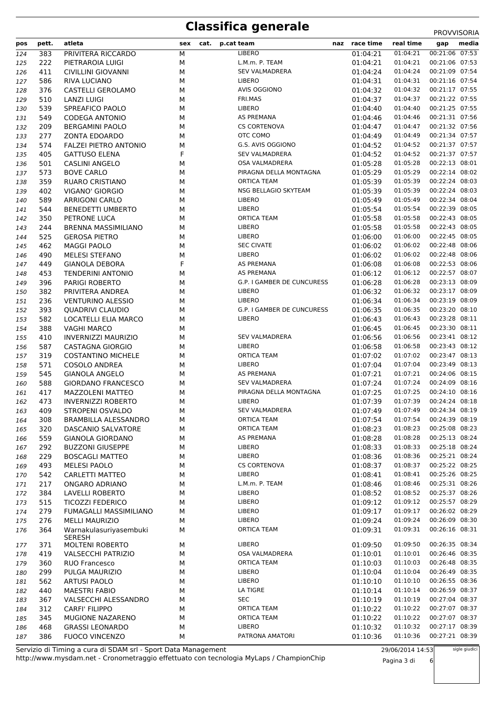# **Classifica generale** PROVVISORIA

| pos | pett. | atleta                                  | sex | cat. | p.cat team                 | naz race time | real time                 | gap            | media |
|-----|-------|-----------------------------------------|-----|------|----------------------------|---------------|---------------------------|----------------|-------|
| 124 | 383   | PRIVITERA RICCARDO                      | М   |      | <b>LIBERO</b>              | 01:04:21      | 01:04:21                  | 00:21:06 07:53 |       |
| 125 | 222   | PIETRAROIA LUIGI                        | М   |      | L.M.m. P. TEAM             | 01:04:21      | 01:04:21                  | 00:21:06 07:53 |       |
| 126 | 411   | <b>CIVILLINI GIOVANNI</b>               | М   |      | <b>SEV VALMADRERA</b>      | 01:04:24      | 01:04:24                  | 00:21:09 07:54 |       |
| 127 | 586   | <b>RIVA LUCIANO</b>                     | М   |      | <b>LIBERO</b>              | 01:04:31      | 01:04:31                  | 00:21:16 07:54 |       |
| 128 | 376   | CASTELLI GEROLAMO                       | М   |      | <b>AVIS OGGIONO</b>        | 01:04:32      | 01:04:32                  | 00:21:17 07:55 |       |
| 129 | 510   | <b>LANZI LUIGI</b>                      | M   |      | FRI.MAS                    | 01:04:37      | 01:04:37                  | 00:21:22 07:55 |       |
| 130 | 539   | SPREAFICO PAOLO                         | М   |      | <b>LIBERO</b>              | 01:04:40      | 01:04:40                  | 00:21:25 07:55 |       |
| 131 | 549   | <b>CODEGA ANTONIO</b>                   | М   |      | AS PREMANA                 | 01:04:46      | 01:04:46                  | 00:21:31 07:56 |       |
| 132 | 209   | <b>BERGAMINI PAOLO</b>                  | М   |      | <b>CS CORTENOVA</b>        | 01:04:47      | 01:04:47                  | 00:21:32 07:56 |       |
| 133 | 277   | ZONTA EDOARDO                           | М   |      | OTC COMO                   | 01:04:49      | 01:04:49                  | 00:21:34 07:57 |       |
| 134 | 574   | <b>FALZEI PIETRO ANTONIO</b>            | M   |      | G.S. AVIS OGGIONO          | 01:04:52      | 01:04:52                  | 00:21:37 07:57 |       |
| 135 | 405   | <b>GATTUSO ELENA</b>                    | F   |      | <b>SEV VALMADRERA</b>      | 01:04:52      | 01:04:52                  | 00:21:37 07:57 |       |
| 136 | 501   | <b>CASLINI ANGELO</b>                   | М   |      | OSA VALMADRERA             | 01:05:28      | 01:05:28                  | 00:22:13 08:01 |       |
| 137 | 573   | <b>BOVE CARLO</b>                       | М   |      | PIRAGNA DELLA MONTAGNA     | 01:05:29      | 01:05:29                  | 00:22:14 08:02 |       |
| 138 | 359   | RUARO CRISTIANO                         | М   |      | <b>ORTICA TEAM</b>         | 01:05:39      | 01:05:39                  | 00:22:24 08:03 |       |
| 139 | 402   | VIGANO' GIORGIO                         | М   |      | NSG BELLAGIO SKYTEAM       | 01:05:39      | 01:05:39                  | 00:22:24 08:03 |       |
| 140 | 589   | <b>ARRIGONI CARLO</b>                   | М   |      | LIBERO                     | 01:05:49      | 01:05:49                  | 00:22:34 08:04 |       |
| 141 | 544   | <b>BENEDETTI UMBERTO</b>                | M   |      | <b>LIBERO</b>              | 01:05:54      | 01:05:54                  | 00:22:39 08:05 |       |
| 142 | 350   | PETRONE LUCA                            | М   |      | <b>ORTICA TEAM</b>         | 01:05:58      | 01:05:58                  | 00:22:43 08:05 |       |
| 143 | 244   | BRENNA MASSIMILIANO                     | М   |      | LIBERO                     | 01:05:58      | 01:05:58                  | 00:22:43 08:05 |       |
| 144 | 525   | <b>GEROSA PIETRO</b>                    | М   |      | <b>LIBERO</b>              | 01:06:00      | 01:06:00                  | 00:22:45 08:05 |       |
| 145 | 462   | <b>MAGGI PAOLO</b>                      | М   |      | <b>SEC CIVATE</b>          | 01:06:02      | 01:06:02                  | 00:22:48 08:06 |       |
| 146 | 490   | <b>MELESI STEFANO</b>                   | M   |      | LIBERO                     | 01:06:02      | 01:06:02                  | 00:22:48 08:06 |       |
| 147 | 449   | <b>GIANOLA DEBORA</b>                   | F   |      | <b>AS PREMANA</b>          | 01:06:08      | 01:06:08                  | 00:22:53 08:06 |       |
| 148 | 453   | <b>TENDERINI ANTONIO</b>                | М   |      | AS PREMANA                 | 01:06:12      | 01:06:12                  | 00:22:57 08:07 |       |
| 149 | 396   | <b>PARIGI ROBERTO</b>                   | М   |      | G.P. I GAMBER DE CUNCURESS | 01:06:28      | 01:06:28                  | 00:23:13 08:09 |       |
| 150 | 382   | PRIVITERA ANDREA                        | М   |      | LIBERO                     | 01:06:32      | 01:06:32                  | 00:23:17 08:09 |       |
| 151 | 236   | <b>VENTURINO ALESSIO</b>                | М   |      | <b>LIBERO</b>              | 01:06:34      | 01:06:34                  | 00:23:19 08:09 |       |
| 152 | 393   | QUADRIVI CLAUDIO                        | М   |      | G.P. I GAMBER DE CUNCURESS | 01:06:35      | 01:06:35                  | 00:23:20 08:10 |       |
| 153 | 582   | LOCATELLI ELIA MARCO                    | M   |      | <b>LIBERO</b>              | 01:06:43      | 01:06:43                  | 00:23:28 08:11 |       |
| 154 | 388   | <b>VAGHI MARCO</b>                      | М   |      |                            | 01:06:45      | 01:06:45                  | 00:23:30 08:11 |       |
| 155 | 410   | <b>INVERNIZZI MAURIZIO</b>              | М   |      | <b>SEV VALMADRERA</b>      | 01:06:56      | 01:06:56                  | 00:23:41 08:12 |       |
| 156 | 587   | CASTAGNA GIORGIO                        | М   |      | <b>LIBERO</b>              | 01:06:58      | 01:06:58                  | 00:23:43 08:12 |       |
| 157 | 319   | <b>COSTANTINO MICHELE</b>               | М   |      | <b>ORTICA TEAM</b>         | 01:07:02      | 01:07:02                  | 00:23:47 08:13 |       |
| 158 | 571   | COSOLO ANDREA                           | М   |      | LIBERO                     | 01:07:04      | 01:07:04                  | 00:23:49 08:13 |       |
| 159 | 545   | <b>GIANOLA ANGELO</b>                   | М   |      | AS PREMANA                 | 01:07:21      | 01:07:21                  | 00:24:06 08:15 |       |
| 160 | 588   | <b>GIORDANO FRANCESCO</b>               | М   |      | <b>SEV VALMADRERA</b>      | 01:07:24      | 01:07:24                  | 00:24:09 08:16 |       |
| 161 | 417   | <b>MAZZOLENI MATTEO</b>                 | м   |      | PIRAGNA DELLA MONTAGNA     | 01:07:25      | 01:07:25                  | 00:24:10 08:16 |       |
| 162 | 473   | <b>INVERNIZZI ROBERTO</b>               | М   |      | <b>LIBERO</b>              | 01:07:39      | 01:07:39                  | 00:24:24 08:18 |       |
| 163 | 409   | STROPENI OSVALDO                        | М   |      | SEV VALMADRERA             | 01:07:49      | 01:07:49  00:24:34  08:19 |                |       |
| 164 | 308   | BRAMBILLA ALESSANDRO                    | м   |      | <b>ORTICA TEAM</b>         | 01:07:54      | 01:07:54                  | 00:24:39 08:19 |       |
| 165 | 320   | DASCANIO SALVATORE                      | М   |      | <b>ORTICA TEAM</b>         | 01:08:23      | 01:08:23                  | 00:25:08 08:23 |       |
| 166 | 559   | <b>GIANOLA GIORDANO</b>                 | М   |      | AS PREMANA                 | 01:08:28      | 01:08:28                  | 00:25:13 08:24 |       |
| 167 | 292   | <b>BUZZONI GIUSEPPE</b>                 | М   |      | LIBERO                     | 01:08:33      | 01:08:33                  | 00:25:18 08:24 |       |
| 168 | 229   | <b>BOSCAGLI MATTEO</b>                  | М   |      | <b>LIBERO</b>              | 01:08:36      | 01:08:36                  | 00:25:21 08:24 |       |
| 169 | 493   | MELESI PAOLO                            | М   |      | <b>CS CORTENOVA</b>        | 01:08:37      | 01:08:37                  | 00:25:22 08:25 |       |
| 170 | 542   | CARLETTI MATTEO                         | М   |      | <b>LIBERO</b>              | 01:08:41      | 01:08:41                  | 00:25:26 08:25 |       |
| 171 | 217   | ONGARO ADRIANO                          | м   |      | L.M.m. P. TEAM             | 01:08:46      | 01:08:46                  | 00:25:31 08:26 |       |
| 172 | 384   | LAVELLI ROBERTO                         | М   |      | <b>LIBERO</b>              | 01:08:52      | 01:08:52                  | 00:25:37 08:26 |       |
| 173 | 515   | <b>TICOZZI FEDERICO</b>                 | М   |      | LIBERO                     | 01:09:12      | 01:09:12                  | 00:25:57 08:29 |       |
| 174 | 279   | FUMAGALLI MASSIMILIANO                  | М   |      | LIBERO                     | 01:09:17      | 01:09:17                  | 00:26:02 08:29 |       |
| 175 | 276   | <b>MELLI MAURIZIO</b>                   | м   |      | LIBERO                     | 01:09:24      | 01:09:24                  | 00:26:09 08:30 |       |
| 176 | 364   | Warnakulasuriyasembuki<br><b>SERESH</b> | М   |      | ORTICA TEAM                | 01:09:31      | 01:09:31                  | 00:26:16 08:31 |       |
| 177 | 371   | <b>MOLTENI ROBERTO</b>                  | М   |      | <b>LIBERO</b>              | 01:09:50      | 01:09:50                  | 00:26:35 08:34 |       |
| 178 | 419   | <b>VALSECCHI PATRIZIO</b>               | М   |      | OSA VALMADRERA             | 01:10:01      | 01:10:01                  | 00:26:46 08:35 |       |
| 179 | 360   | RUO Francesco                           | М   |      | <b>ORTICA TEAM</b>         | 01:10:03      | 01:10:03                  | 00:26:48 08:35 |       |
| 180 | 299   | PULGA MAURIZIO                          | М   |      | LIBERO                     | 01:10:04      | 01:10:04                  | 00:26:49 08:35 |       |
| 181 | 562   | <b>ARTUSI PAOLO</b>                     | М   |      | LIBERO                     | 01:10:10      | 01:10:10                  | 00:26:55 08:36 |       |
| 182 | 440   | <b>MAESTRI FABIO</b>                    | М   |      | LA TIGRE                   | 01:10:14      | 01:10:14                  | 00:26:59 08:37 |       |
| 183 | 367   | VALSECCHI ALESSANDRO                    | М   |      | <b>SEC</b>                 | 01:10:19      | 01:10:19                  | 00:27:04 08:37 |       |
| 184 | 312   | <b>CARFI' FILIPPO</b>                   | М   |      | <b>ORTICA TEAM</b>         | 01:10:22      | 01:10:22                  | 00:27:07 08:37 |       |
| 185 | 345   | MUGIONE NAZARENO                        | М   |      | <b>ORTICA TEAM</b>         | 01:10:22      | 01:10:22                  | 00:27:07 08:37 |       |
| 186 | 468   | <b>GRASSI LEONARDO</b>                  | М   |      | LIBERO                     | 01:10:32      | 01:10:32                  | 00:27:17 08:39 |       |
| 187 | 386   | <b>FUOCO VINCENZO</b>                   | М   |      | PATRONA AMATORI            | 01:10:36      | 01:10:36                  | 00:27:21 08:39 |       |

http://www.mysdam.net - Cronometraggio effettuato con tecnologia MyLaps / ChampionChip Servizio di Timing a cura di SDAM srl - Sport Data Management

29/06/2014 14:53

sigle giudici

Pagina 3 di 6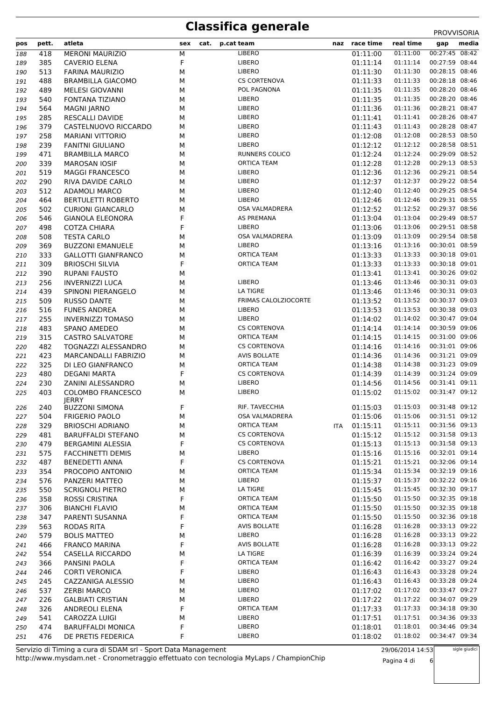### **Classifica generale** PROVISORIA

|     |       |                             |             |                      |     |               |           | <b>FRUVVIJURIA</b>                  |
|-----|-------|-----------------------------|-------------|----------------------|-----|---------------|-----------|-------------------------------------|
| pos | pett. | atleta                      | sex<br>cat. | p.cat team           |     | naz race time | real time | media<br>gap                        |
| 188 | 418   | <b>MERONI MAURIZIO</b>      | ${\sf M}$   | <b>LIBERO</b>        |     | 01:11:00      | 01:11:00  | 00:27:45 08:42                      |
| 189 | 385   | <b>CAVERIO ELENA</b>        | F           | LIBERO               |     | 01:11:14      | 01:11:14  | 00:27:59 08:44                      |
| 190 | 513   | <b>FARINA MAURIZIO</b>      | M           | LIBERO               |     | 01:11:30      | 01:11:30  | 00:28:15 08:46                      |
| 191 | 488   | <b>BRAMBILLA GIACOMO</b>    | М           | <b>CS CORTENOVA</b>  |     | 01:11:33      | 01:11:33  | 00:28:18 08:46                      |
| 192 | 489   | <b>MELESI GIOVANNI</b>      | М           | POL PAGNONA          |     | 01:11:35      | 01:11:35  | 00:28:20 08:46                      |
| 193 | 540   | <b>FONTANA TIZIANO</b>      | М           | LIBERO               |     | 01:11:35      | 01:11:35  | 00:28:20 08:46                      |
| 194 | 564   | <b>MAGNI JARNO</b>          | М           | LIBERO               |     | 01:11:36      | 01:11:36  | 00:28:21 08:47                      |
| 195 | 285   | <b>RESCALLI DAVIDE</b>      | М           | LIBERO               |     | 01:11:41      | 01:11:41  | 00:28:26 08:47                      |
| 196 | 379   | CASTELNUOVO RICCARDO        | М           | LIBERO               |     | 01:11:43      | 01:11:43  | 00:28:28 08:47                      |
| 197 | 258   | <b>MARIANI VITTORIO</b>     | М           | LIBERO               |     | 01:12:08      | 01:12:08  | 00:28:53 08:50                      |
| 198 | 239   | <b>FANITNI GIULIANO</b>     | M           | LIBERO               |     | 01:12:12      | 01:12:12  | 00:28:58 08:51                      |
|     |       |                             |             |                      |     |               |           | 00:29:09 08:52                      |
| 199 | 471   | <b>BRAMBILLA MARCO</b>      | М           | RUNNERS COLICO       |     | 01:12:24      | 01:12:24  |                                     |
| 200 | 339   | <b>MAROSAN IOSIF</b>        | М           | <b>ORTICA TEAM</b>   |     | 01:12:28      | 01:12:28  | 00:29:13 08:53                      |
| 201 | 519   | <b>MAGGI FRANCESCO</b>      | М           | LIBERO               |     | 01:12:36      | 01:12:36  | 00:29:21 08:54                      |
| 202 | 290   | RIVA DAVIDE CARLO           | М           | LIBERO               |     | 01:12:37      | 01:12:37  | 00:29:22 08:54                      |
| 203 | 512   | <b>ADAMOLI MARCO</b>        | М           | LIBERO               |     | 01:12:40      | 01:12:40  | 00:29:25 08:54                      |
| 204 | 464   | <b>BERTULETTI ROBERTO</b>   | М           | LIBERO               |     | 01:12:46      | 01:12:46  | 00:29:31 08:55                      |
| 205 | 502   | <b>CURIONI GIANCARLO</b>    | М           | OSA VALMADRERA       |     | 01:12:52      | 01:12:52  | 00:29:37 08:56                      |
| 206 | 546   | <b>GIANOLA ELEONORA</b>     | F           | AS PREMANA           |     | 01:13:04      | 01:13:04  | 00:29:49 08:57                      |
| 207 | 498   | <b>COTZA CHIARA</b>         | F           | LIBERO               |     | 01:13:06      | 01:13:06  | 00:29:51 08:58                      |
| 208 | 508   | <b>TESTA CARLO</b>          | М           | OSA VALMADRERA       |     | 01:13:09      | 01:13:09  | 00:29:54 08:58                      |
| 209 | 369   | <b>BUZZONI EMANUELE</b>     | М           | LIBERO               |     | 01:13:16      | 01:13:16  | 00:30:01 08:59                      |
| 210 | 333   | <b>GALLOTTI GIANFRANCO</b>  | М           | <b>ORTICA TEAM</b>   |     | 01:13:33      | 01:13:33  | 00:30:18 09:01                      |
| 211 | 309   | <b>BRIOSCHI SILVIA</b>      | F           | ORTICA TEAM          |     | 01:13:33      | 01:13:33  | 00:30:18 09:01                      |
| 212 | 390   | <b>RUPANI FAUSTO</b>        | М           |                      |     | 01:13:41      | 01:13:41  | 00:30:26 09:02                      |
| 213 | 256   | <b>INVERNIZZI LUCA</b>      | М           | LIBERO               |     | 01:13:46      | 01:13:46  | 00:30:31 09:03                      |
|     | 439   | SPINONI PIERANGELO          |             | LA TIGRE             |     | 01:13:46      | 01:13:46  | 00:30:31 09:03                      |
| 214 |       |                             | М           | FRIMAS CALOLZIOCORTE |     |               |           | 00:30:37 09:03                      |
| 215 | 509   | <b>RUSSO DANTE</b>          | М           |                      |     | 01:13:52      | 01:13:52  |                                     |
| 216 | 516   | <b>FUNES ANDREA</b>         | М           | LIBERO               |     | 01:13:53      | 01:13:53  | 00:30:38 09:03                      |
| 217 | 255   | <b>INVERNIZZI TOMASO</b>    | М           | LIBERO               |     | 01:14:02      | 01:14:02  | 00:30:47 09:04                      |
| 218 | 483   | <b>SPANO AMEDEO</b>         | М           | <b>CS CORTENOVA</b>  |     | 01:14:14      | 01:14:14  | 00:30:59 09:06                      |
| 219 | 315   | <b>CASTRO SALVATORE</b>     | М           | <b>ORTICA TEAM</b>   |     | 01:14:15      | 01:14:15  | 00:31:00 09:06                      |
| 220 | 482   | TOGNAZZI ALESSANDRO         | М           | <b>CS CORTENOVA</b>  |     | 01:14:16      | 01:14:16  | 00:31:01 09:06                      |
| 221 | 423   | <b>MARCANDALLI FABRIZIO</b> | М           | <b>AVIS BOLLATE</b>  |     | 01:14:36      | 01:14:36  | 00:31:21 09:09                      |
| 222 | 325   | DI LEO GIANFRANCO           | M           | ORTICA TEAM          |     | 01:14:38      | 01:14:38  | 00:31:23 09:09                      |
| 223 | 480   | <b>DEGANI MARTA</b>         | F           | <b>CS CORTENOVA</b>  |     | 01:14:39      | 01:14:39  | 00:31:24 09:09                      |
| 224 | 230   | ZANINI ALESSANDRO           | М           | LIBERO               |     | 01:14:56      | 01:14:56  | 00:31:41 09:11                      |
| 225 | 403   | <b>COLOMBO FRANCESCO</b>    | М           | LIBERO               |     | 01:15:02      | 01:15:02  | 00:31:47 09:12                      |
|     |       | <b>JERRY</b>                |             |                      |     |               |           |                                     |
| 226 | 240   | <b>BUZZONI SIMONA</b>       | F           | RIF. TAVECCHIA       |     |               |           | 01:15:03  01:15:03  00:31:48  09:12 |
| 227 | 504   | <b>FRIGERIO PAOLO</b>       | М           | OSA VALMADRERA       |     | 01:15:06      | 01:15:06  | 00:31:51 09:12                      |
| 228 | 329   | <b>BRIOSCHI ADRIANO</b>     | М           | <b>ORTICA TEAM</b>   | ITA | 01:15:11      | 01:15:11  | 00:31:56 09:13                      |
| 229 | 481   | <b>BARUFFALDI STEFANO</b>   | М           | <b>CS CORTENOVA</b>  |     | 01:15:12      | 01:15:12  | 00:31:58 09:13                      |
| 230 | 479   | <b>BERGAMINI ALESSIA</b>    | F           | <b>CS CORTENOVA</b>  |     | 01:15:13      | 01:15:13  | 00:31:58 09:13                      |
| 231 | 575   | <b>FACCHINETTI DEMIS</b>    | М           | <b>LIBERO</b>        |     | 01:15:16      | 01:15:16  | 00:32:01 09:14                      |
| 232 | 487   | <b>BENEDETTI ANNA</b>       | F           | <b>CS CORTENOVA</b>  |     | 01:15:21      | 01:15:21  | 00:32:06 09:14                      |
| 233 | 354   | PROCOPIO ANTONIO            | М           | ORTICA TEAM          |     | 01:15:34      | 01:15:34  | 00:32:19 09:16                      |
| 234 | 576   | PANZERI MATTEO              | М           | LIBERO               |     | 01:15:37      | 01:15:37  | 00:32:22 09:16                      |
| 235 | 550   | <b>SCRIGNOLI PIETRO</b>     | М           | LA TIGRE             |     | 01:15:45      | 01:15:45  | 00:32:30 09:17                      |
| 236 | 358   | ROSSI CRISTINA              | F           | <b>ORTICA TEAM</b>   |     | 01:15:50      | 01:15:50  | 00:32:35 09:18                      |
| 237 | 306   | <b>BIANCHI FLAVIO</b>       | М           | ORTICA TEAM          |     | 01:15:50      | 01:15:50  | 00:32:35 09:18                      |
|     |       |                             | F           | ORTICA TEAM          |     |               | 01:15:50  | 00:32:36 09:18                      |
| 238 | 347   | PARENTI SUSANNA             |             |                      |     | 01:15:50      |           |                                     |
| 239 | 563   | RODAS RITA                  | F           | <b>AVIS BOLLATE</b>  |     | 01:16:28      | 01:16:28  | 00:33:13 09:22                      |
| 240 | 579   | <b>BOLIS MATTEO</b>         | м           | LIBERO               |     | 01:16:28      | 01:16:28  | 00:33:13 09:22                      |
| 241 | 466   | <b>FRANCO MARINA</b>        | F           | <b>AVIS BOLLATE</b>  |     | 01:16:28      | 01:16:28  | 00:33:13 09:22                      |
| 242 | 554   | CASELLA RICCARDO            | М           | LA TIGRE             |     | 01:16:39      | 01:16:39  | 00:33:24 09:24                      |
| 243 | 366   | PANSINI PAOLA               | F           | <b>ORTICA TEAM</b>   |     | 01:16:42      | 01:16:42  | 00:33:27 09:24                      |
| 244 | 246   | <b>CORTI VERONICA</b>       | F           | LIBERO               |     | 01:16:43      | 01:16:43  | 00:33:28 09:24                      |
| 245 | 245   | CAZZANIGA ALESSIO           | М           | LIBERO               |     | 01:16:43      | 01:16:43  | 00:33:28 09:24                      |
| 246 | 537   | <b>ZERBI MARCO</b>          | М           | LIBERO               |     | 01:17:02      | 01:17:02  | 00:33:47 09:27                      |
| 247 | 226   | <b>GALBIATI CRISTIAN</b>    | М           | LIBERO               |     | 01:17:22      | 01:17:22  | 00:34:07 09:29                      |
| 248 | 326   | ANDREOLI ELENA              | F           | <b>ORTICA TEAM</b>   |     | 01:17:33      | 01:17:33  | 00:34:18 09:30                      |
| 249 | 541   | CAROZZA LUIGI               | М           | LIBERO               |     | 01:17:51      | 01:17:51  | 00:34:36 09:33                      |
| 250 | 474   | <b>BARUFFALDI MONICA</b>    | F           | LIBERO               |     | 01:18:01      | 01:18:01  | 00:34:46 09:34                      |
| 251 | 476   | DE PRETIS FEDERICA          | F           | LIBERO               |     | 01:18:02      | 01:18:02  | 00:34:47 09:34                      |

http://www.mysdam.net - Cronometraggio effettuato con tecnologia MyLaps / ChampionChip Servizio di Timing a cura di SDAM srl - Sport Data Management

29/06/2014 14:53 Pagina 4 di 6 sigle giudici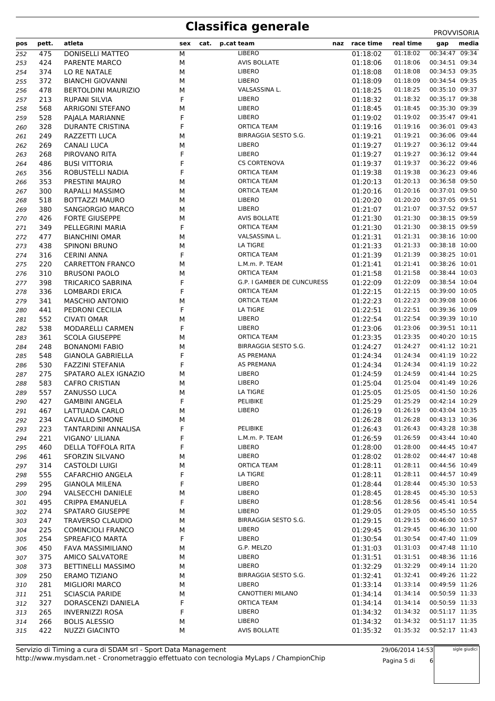## **Classifica generale** PROVVISORIA

|     |       | atleta                     |     | cat. |                            | naz | race time | real time | media          |  |
|-----|-------|----------------------------|-----|------|----------------------------|-----|-----------|-----------|----------------|--|
| pos | pett. |                            | sex |      | p.cat team                 |     |           |           | gap            |  |
| 252 | 475   | <b>DONISELLI MATTEO</b>    | М   |      | <b>LIBERO</b>              |     | 01:18:02  | 01:18:02  | 00:34:47 09:34 |  |
| 253 | 424   | <b>PARENTE MARCO</b>       | М   |      | <b>AVIS BOLLATE</b>        |     | 01:18:06  | 01:18:06  | 00:34:51 09:34 |  |
| 254 | 374   | LO RE NATALE               | М   |      | LIBERO                     |     | 01:18:08  | 01:18:08  | 00:34:53 09:35 |  |
| 255 | 372   | <b>BIANCHI GIOVANNI</b>    | М   |      | LIBERO                     |     | 01:18:09  | 01:18:09  | 00:34:54 09:35 |  |
| 256 | 478   | <b>BERTOLDINI MAURIZIO</b> | М   |      | VALSASSINA L.              |     | 01:18:25  | 01:18:25  | 00:35:10 09:37 |  |
| 257 | 213   | <b>RUPANI SILVIA</b>       | F   |      | LIBERO                     |     | 01:18:32  | 01:18:32  | 00:35:17 09:38 |  |
| 258 | 568   | <b>ARRIGONI STEFANO</b>    | М   |      | LIBERO                     |     | 01:18:45  | 01:18:45  | 00:35:30 09:39 |  |
| 259 | 528   | PAJALA MARIANNE            | F   |      | LIBERO                     |     | 01:19:02  | 01:19:02  | 00:35:47 09:41 |  |
| 260 | 328   | <b>DURANTE CRISTINA</b>    | F   |      | <b>ORTICA TEAM</b>         |     | 01:19:16  | 01:19:16  | 00:36:01 09:43 |  |
| 261 | 249   | RAZZETTI LUCA              | M   |      | BIRRAGGIA SESTO S.G.       |     | 01:19:21  | 01:19:21  | 00:36:06 09:44 |  |
| 262 | 269   | <b>CANALI LUCA</b>         | М   |      | LIBERO                     |     | 01:19:27  | 01:19:27  | 00:36:12 09:44 |  |
| 263 | 268   | PIROVANO RITA              | F   |      | LIBERO                     |     | 01:19:27  | 01:19:27  | 00:36:12 09:44 |  |
| 264 | 486   | <b>BUSI VITTORIA</b>       | F   |      | <b>CS CORTENOVA</b>        |     | 01:19:37  | 01:19:37  | 00:36:22 09:46 |  |
| 265 | 356   | ROBUSTELLI NADIA           | F   |      | <b>ORTICA TEAM</b>         |     | 01:19:38  | 01:19:38  | 00:36:23 09:46 |  |
| 266 | 353   | PRESTINI MAURO             | М   |      | ORTICA TEAM                |     | 01:20:13  | 01:20:13  | 00:36:58 09:50 |  |
| 267 | 300   | RAPALLI MASSIMO            | М   |      | <b>ORTICA TEAM</b>         |     | 01:20:16  | 01:20:16  | 00:37:01 09:50 |  |
| 268 | 518   | <b>BOTTAZZI MAURO</b>      | М   |      | LIBERO                     |     | 01:20:20  | 01:20:20  | 00:37:05 09:51 |  |
| 269 | 380   | SANGIORGIO MARCO           | М   |      | LIBERO                     |     | 01:21:07  | 01:21:07  | 00:37:52 09:57 |  |
| 270 | 426   | <b>FORTE GIUSEPPE</b>      | М   |      | <b>AVIS BOLLATE</b>        |     | 01:21:30  | 01:21:30  | 00:38:15 09:59 |  |
| 271 | 349   | PELLEGRINI MARIA           | F   |      | <b>ORTICA TEAM</b>         |     | 01:21:30  | 01:21:30  | 00:38:15 09:59 |  |
| 272 | 477   | <b>BIANCHINI OMAR</b>      | М   |      | VALSASSINA L.              |     | 01:21:31  | 01:21:31  | 00:38:16 10:00 |  |
|     | 438   |                            | M   |      | LA TIGRE                   |     | 01:21:33  | 01:21:33  | 00:38:18 10:00 |  |
| 273 |       | <b>SPINONI BRUNO</b>       | F   |      | <b>ORTICA TEAM</b>         |     |           |           | 00:38:25 10:01 |  |
| 274 | 316   | <b>CERINI ANNA</b>         |     |      |                            |     | 01:21:39  | 01:21:39  | 00:38:26 10:01 |  |
| 275 | 220   | <b>CARRETTON FRANCO</b>    | М   |      | L.M.m. P. TEAM             |     | 01:21:41  | 01:21:41  |                |  |
| 276 | 310   | <b>BRUSONI PAOLO</b>       | M   |      | <b>ORTICA TEAM</b>         |     | 01:21:58  | 01:21:58  | 00:38:44 10:03 |  |
| 277 | 398   | <b>TRICARICO SABRINA</b>   | F   |      | G.P. I GAMBER DE CUNCURESS |     | 01:22:09  | 01:22:09  | 00:38:54 10:04 |  |
| 278 | 336   | <b>LOMBARDI ERICA</b>      | F   |      | <b>ORTICA TEAM</b>         |     | 01:22:15  | 01:22:15  | 00:39:00 10:05 |  |
| 279 | 341   | <b>MASCHIO ANTONIO</b>     | M   |      | <b>ORTICA TEAM</b>         |     | 01:22:23  | 01:22:23  | 00:39:08 10:06 |  |
| 280 | 441   | PEDRONI CECILIA            | F   |      | LA TIGRE                   |     | 01:22:51  | 01:22:51  | 00:39:36 10:09 |  |
| 281 | 552   | <b>CIVATI OMAR</b>         | М   |      | LIBERO                     |     | 01:22:54  | 01:22:54  | 00:39:39 10:10 |  |
| 282 | 538   | <b>MODARELLI CARMEN</b>    | F   |      | LIBERO                     |     | 01:23:06  | 01:23:06  | 00:39:51 10:11 |  |
| 283 | 361   | <b>SCOLA GIUSEPPE</b>      | М   |      | <b>ORTICA TEAM</b>         |     | 01:23:35  | 01:23:35  | 00:40:20 10:15 |  |
| 284 | 248   | <b>BONANOMI FABIO</b>      | М   |      | BIRRAGGIA SESTO S.G.       |     | 01:24:27  | 01:24:27  | 00:41:12 10:21 |  |
| 285 | 548   | <b>GIANOLA GABRIELLA</b>   | F   |      | AS PREMANA                 |     | 01:24:34  | 01:24:34  | 00:41:19 10:22 |  |
| 286 | 530   | <b>FAZZINI STEFANIA</b>    | F   |      | AS PREMANA                 |     | 01:24:34  | 01:24:34  | 00:41:19 10:22 |  |
| 287 | 275   | SPATARO ALEX IGNAZIO       | М   |      | LIBERO                     |     | 01:24:59  | 01:24:59  | 00:41:44 10:25 |  |
| 288 | 583   | <b>CAFRO CRISTIAN</b>      | М   |      | LIBERO                     |     | 01:25:04  | 01:25:04  | 00:41:49 10:26 |  |
| 289 | 557   | <b>ZANUSSO LUCA</b>        | М   |      | LA TIGRE                   |     | 01:25:05  | 01:25:05  | 00:41:50 10:26 |  |
| 290 | 427   | <b>GAMBINI ANGELA</b>      | F   |      | PELIBIKE                   |     | 01:25:29  | 01:25:29  | 00:42:14 10:29 |  |
| 291 | 467   | LATTUADA CARLO             | М   |      | LIBERO                     |     | 01:26:19  | 01:26:19  | 00:43:04 10:35 |  |
| 292 | 234   | CAVALLO SIMONE             | М   |      |                            |     | 01:26:28  | 01:26:28  | 00:43:13 10:36 |  |
| 293 | 223   | TANTARDINI ANNALISA        | F   |      | PELIBIKE                   |     | 01:26:43  | 01:26:43  | 00:43:28 10:38 |  |
| 294 | 221   | VIGANO' LILIANA            | F   |      | L.M.m. P. TEAM             |     | 01:26:59  | 01:26:59  | 00:43:44 10:40 |  |
| 295 | 460   | DELLA TOFFOLA RITA         | F   |      | LIBERO                     |     | 01:28:00  | 01:28:00  | 00:44:45 10:47 |  |
| 296 | 461   | SFORZIN SILVANO            | М   |      | <b>LIBERO</b>              |     | 01:28:02  | 01:28:02  | 00:44:47 10:48 |  |
| 297 | 314   | <b>CASTOLDI LUIGI</b>      | М   |      | ORTICA TEAM                |     | 01:28:11  | 01:28:11  | 00:44:56 10:49 |  |
| 298 | 555   | CAFARCHIO ANGELA           | F   |      | LA TIGRE                   |     | 01:28:11  | 01:28:11  | 00:44:57 10:49 |  |
| 299 | 295   | <b>GIANOLA MILENA</b>      | F   |      | LIBERO                     |     | 01:28:44  | 01:28:44  | 00:45:30 10:53 |  |
| 300 | 294   | <b>VALSECCHI DANIELE</b>   | М   |      | LIBERO                     |     | 01:28:45  | 01:28:45  | 00:45:30 10:53 |  |
| 301 | 495   | CRIPPA EMANUELA            | F   |      | LIBERO                     |     | 01:28:56  | 01:28:56  | 00:45:41 10:54 |  |
| 302 | 274   | SPATARO GIUSEPPE           | М   |      | LIBERO                     |     | 01:29:05  | 01:29:05  | 00:45:50 10:55 |  |
| 303 | 247   | <b>TRAVERSO CLAUDIO</b>    | М   |      | BIRRAGGIA SESTO S.G.       |     | 01:29:15  | 01:29:15  | 00:46:00 10:57 |  |
|     | 225   | <b>COMINCIOLI FRANCO</b>   | М   |      | LIBERO                     |     | 01:29:45  | 01:29:45  | 00:46:30 11:00 |  |
| 304 |       |                            |     |      |                            |     |           |           |                |  |
| 305 | 254   | SPREAFICO MARTA            | F   |      | LIBERO                     |     | 01:30:54  | 01:30:54  | 00:47:40 11:09 |  |
| 306 | 450   | <b>FAVA MASSIMILIANO</b>   | М   |      | G.P. MELZO                 |     | 01:31:03  | 01:31:03  | 00:47:48 11:10 |  |
| 307 | 375   | AMICO SALVATORE            | М   |      | LIBERO                     |     | 01:31:51  | 01:31:51  | 00:48:36 11:16 |  |
| 308 | 373   | <b>BETTINELLI MASSIMO</b>  | М   |      | LIBERO                     |     | 01:32:29  | 01:32:29  | 00:49:14 11:20 |  |
| 309 | 250   | <b>ERAMO TIZIANO</b>       | М   |      | BIRRAGGIA SESTO S.G.       |     | 01:32:41  | 01:32:41  | 00:49:26 11:22 |  |
| 310 | 281   | <b>MIGLIORI MARCO</b>      | М   |      | LIBERO                     |     | 01:33:14  | 01:33:14  | 00:49:59 11:26 |  |
| 311 | 251   | <b>SCIASCIA PARIDE</b>     | М   |      | CANOTTIERI MILANO          |     | 01:34:14  | 01:34:14  | 00:50:59 11:33 |  |
| 312 | 327   | DORASCENZI DANIELA         | F   |      | <b>ORTICA TEAM</b>         |     | 01:34:14  | 01:34:14  | 00:50:59 11:33 |  |
| 313 | 265   | <b>INVERNIZZI ROSA</b>     | F   |      | LIBERO                     |     | 01:34:32  | 01:34:32  | 00:51:17 11:35 |  |
| 314 | 266   | <b>BOLIS ALESSIO</b>       | М   |      | <b>LIBERO</b>              |     | 01:34:32  | 01:34:32  | 00:51:17 11:35 |  |
| 315 | 422   | <b>NUZZI GIACINTO</b>      | М   |      | <b>AVIS BOLLATE</b>        |     | 01:35:32  | 01:35:32  | 00:52:17 11:43 |  |

29/06/2014 14:53 Pagina 5 di 6 sigle giudici